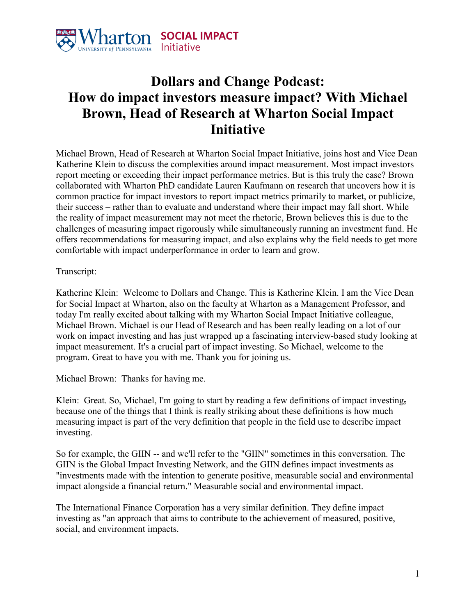

## **Dollars and Change Podcast: How do impact investors measure impact? With Michael Brown, Head of Research at Wharton Social Impact Initiative**

Michael Brown, Head of Research at Wharton Social Impact Initiative, joins host and Vice Dean Katherine Klein to discuss the complexities around impact measurement. Most impact investors report meeting or exceeding their impact performance metrics. But is this truly the case? Brown collaborated with Wharton PhD candidate Lauren Kaufmann on research that uncovers how it is common practice for impact investors to report impact metrics primarily to market, or publicize, their success – rather than to evaluate and understand where their impact may fall short. While the reality of impact measurement may not meet the rhetoric, Brown believes this is due to the challenges of measuring impact rigorously while simultaneously running an investment fund. He offers recommendations for measuring impact, and also explains why the field needs to get more comfortable with impact underperformance in order to learn and grow.

Transcript:

Katherine Klein: Welcome to Dollars and Change. This is Katherine Klein. I am the Vice Dean for Social Impact at Wharton, also on the faculty at Wharton as a Management Professor, and today I'm really excited about talking with my Wharton Social Impact Initiative colleague, Michael Brown. Michael is our Head of Research and has been really leading on a lot of our work on impact investing and has just wrapped up a fascinating interview-based study looking at impact measurement. It's a crucial part of impact investing. So Michael, welcome to the program. Great to have you with me. Thank you for joining us.

Michael Brown: Thanks for having me.

Klein: Great. So, Michael, I'm going to start by reading a few definitions of impact investing, because one of the things that I think is really striking about these definitions is how much measuring impact is part of the very definition that people in the field use to describe impact investing.

So for example, the GIIN -- and we'll refer to the "GIIN" sometimes in this conversation. The GIIN is the Global Impact Investing Network, and the GIIN defines impact investments as "investments made with the intention to generate positive, measurable social and environmental impact alongside a financial return." Measurable social and environmental impact.

The International Finance Corporation has a very similar definition. They define impact investing as "an approach that aims to contribute to the achievement of measured, positive, social, and environment impacts.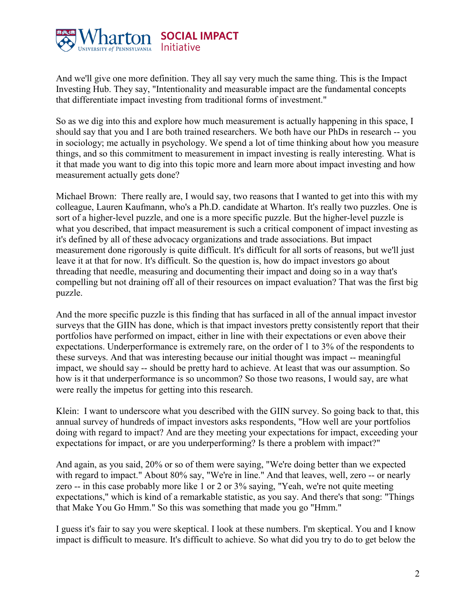

And we'll give one more definition. They all say very much the same thing. This is the Impact Investing Hub. They say, "Intentionality and measurable impact are the fundamental concepts that differentiate impact investing from traditional forms of investment."

So as we dig into this and explore how much measurement is actually happening in this space, I should say that you and I are both trained researchers. We both have our PhDs in research -- you in sociology; me actually in psychology. We spend a lot of time thinking about how you measure things, and so this commitment to measurement in impact investing is really interesting. What is it that made you want to dig into this topic more and learn more about impact investing and how measurement actually gets done?

Michael Brown: There really are, I would say, two reasons that I wanted to get into this with my colleague, Lauren Kaufmann, who's a Ph.D. candidate at Wharton. It's really two puzzles. One is sort of a higher-level puzzle, and one is a more specific puzzle. But the higher-level puzzle is what you described, that impact measurement is such a critical component of impact investing as it's defined by all of these advocacy organizations and trade associations. But impact measurement done rigorously is quite difficult. It's difficult for all sorts of reasons, but we'll just leave it at that for now. It's difficult. So the question is, how do impact investors go about threading that needle, measuring and documenting their impact and doing so in a way that's compelling but not draining off all of their resources on impact evaluation? That was the first big puzzle.

And the more specific puzzle is this finding that has surfaced in all of the annual impact investor surveys that the GIIN has done, which is that impact investors pretty consistently report that their portfolios have performed on impact, either in line with their expectations or even above their expectations. Underperformance is extremely rare, on the order of 1 to 3% of the respondents to these surveys. And that was interesting because our initial thought was impact -- meaningful impact, we should say -- should be pretty hard to achieve. At least that was our assumption. So how is it that underperformance is so uncommon? So those two reasons, I would say, are what were really the impetus for getting into this research.

Klein: I want to underscore what you described with the GIIN survey. So going back to that, this annual survey of hundreds of impact investors asks respondents, "How well are your portfolios doing with regard to impact? And are they meeting your expectations for impact, exceeding your expectations for impact, or are you underperforming? Is there a problem with impact?"

And again, as you said, 20% or so of them were saying, "We're doing better than we expected with regard to impact." About 80% say, "We're in line." And that leaves, well, zero -- or nearly zero -- in this case probably more like 1 or 2 or 3% saying, "Yeah, we're not quite meeting expectations," which is kind of a remarkable statistic, as you say. And there's that song: "Things that Make You Go Hmm." So this was something that made you go "Hmm."

I guess it's fair to say you were skeptical. I look at these numbers. I'm skeptical. You and I know impact is difficult to measure. It's difficult to achieve. So what did you try to do to get below the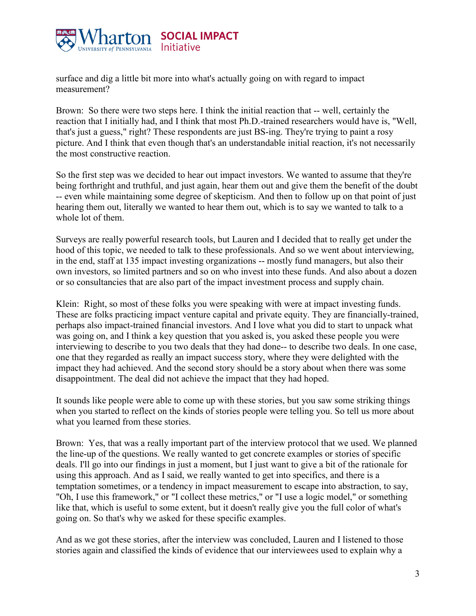

surface and dig a little bit more into what's actually going on with regard to impact measurement?

Brown: So there were two steps here. I think the initial reaction that -- well, certainly the reaction that I initially had, and I think that most Ph.D.-trained researchers would have is, "Well, that's just a guess," right? These respondents are just BS-ing. They're trying to paint a rosy picture. And I think that even though that's an understandable initial reaction, it's not necessarily the most constructive reaction.

So the first step was we decided to hear out impact investors. We wanted to assume that they're being forthright and truthful, and just again, hear them out and give them the benefit of the doubt -- even while maintaining some degree of skepticism. And then to follow up on that point of just hearing them out, literally we wanted to hear them out, which is to say we wanted to talk to a whole lot of them.

Surveys are really powerful research tools, but Lauren and I decided that to really get under the hood of this topic, we needed to talk to these professionals. And so we went about interviewing, in the end, staff at 135 impact investing organizations -- mostly fund managers, but also their own investors, so limited partners and so on who invest into these funds. And also about a dozen or so consultancies that are also part of the impact investment process and supply chain.

Klein: Right, so most of these folks you were speaking with were at impact investing funds. These are folks practicing impact venture capital and private equity. They are financially-trained, perhaps also impact-trained financial investors. And I love what you did to start to unpack what was going on, and I think a key question that you asked is, you asked these people you were interviewing to describe to you two deals that they had done-- to describe two deals. In one case, one that they regarded as really an impact success story, where they were delighted with the impact they had achieved. And the second story should be a story about when there was some disappointment. The deal did not achieve the impact that they had hoped.

It sounds like people were able to come up with these stories, but you saw some striking things when you started to reflect on the kinds of stories people were telling you. So tell us more about what you learned from these stories.

Brown: Yes, that was a really important part of the interview protocol that we used. We planned the line-up of the questions. We really wanted to get concrete examples or stories of specific deals. I'll go into our findings in just a moment, but I just want to give a bit of the rationale for using this approach. And as I said, we really wanted to get into specifics, and there is a temptation sometimes, or a tendency in impact measurement to escape into abstraction, to say, "Oh, I use this framework," or "I collect these metrics," or "I use a logic model," or something like that, which is useful to some extent, but it doesn't really give you the full color of what's going on. So that's why we asked for these specific examples.

And as we got these stories, after the interview was concluded, Lauren and I listened to those stories again and classified the kinds of evidence that our interviewees used to explain why a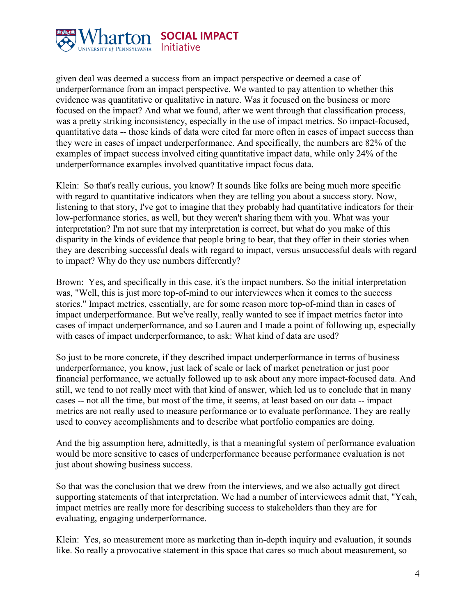

given deal was deemed a success from an impact perspective or deemed a case of underperformance from an impact perspective. We wanted to pay attention to whether this evidence was quantitative or qualitative in nature. Was it focused on the business or more focused on the impact? And what we found, after we went through that classification process, was a pretty striking inconsistency, especially in the use of impact metrics. So impact-focused, quantitative data -- those kinds of data were cited far more often in cases of impact success than they were in cases of impact underperformance. And specifically, the numbers are 82% of the examples of impact success involved citing quantitative impact data, while only 24% of the underperformance examples involved quantitative impact focus data.

Klein: So that's really curious, you know? It sounds like folks are being much more specific with regard to quantitative indicators when they are telling you about a success story. Now, listening to that story, I've got to imagine that they probably had quantitative indicators for their low-performance stories, as well, but they weren't sharing them with you. What was your interpretation? I'm not sure that my interpretation is correct, but what do you make of this disparity in the kinds of evidence that people bring to bear, that they offer in their stories when they are describing successful deals with regard to impact, versus unsuccessful deals with regard to impact? Why do they use numbers differently?

Brown: Yes, and specifically in this case, it's the impact numbers. So the initial interpretation was, "Well, this is just more top-of-mind to our interviewees when it comes to the success stories." Impact metrics, essentially, are for some reason more top-of-mind than in cases of impact underperformance. But we've really, really wanted to see if impact metrics factor into cases of impact underperformance, and so Lauren and I made a point of following up, especially with cases of impact underperformance, to ask: What kind of data are used?

So just to be more concrete, if they described impact underperformance in terms of business underperformance, you know, just lack of scale or lack of market penetration or just poor financial performance, we actually followed up to ask about any more impact-focused data. And still, we tend to not really meet with that kind of answer, which led us to conclude that in many cases -- not all the time, but most of the time, it seems, at least based on our data -- impact metrics are not really used to measure performance or to evaluate performance. They are really used to convey accomplishments and to describe what portfolio companies are doing.

And the big assumption here, admittedly, is that a meaningful system of performance evaluation would be more sensitive to cases of underperformance because performance evaluation is not just about showing business success.

So that was the conclusion that we drew from the interviews, and we also actually got direct supporting statements of that interpretation. We had a number of interviewees admit that, "Yeah, impact metrics are really more for describing success to stakeholders than they are for evaluating, engaging underperformance.

Klein: Yes, so measurement more as marketing than in-depth inquiry and evaluation, it sounds like. So really a provocative statement in this space that cares so much about measurement, so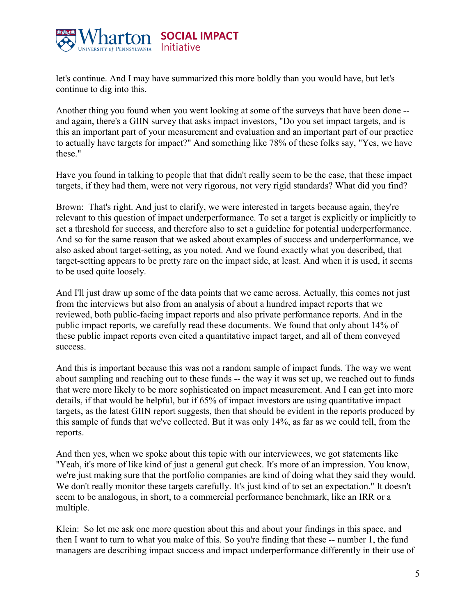

let's continue. And I may have summarized this more boldly than you would have, but let's continue to dig into this.

Another thing you found when you went looking at some of the surveys that have been done - and again, there's a GIIN survey that asks impact investors, "Do you set impact targets, and is this an important part of your measurement and evaluation and an important part of our practice to actually have targets for impact?" And something like 78% of these folks say, "Yes, we have these."

Have you found in talking to people that that didn't really seem to be the case, that these impact targets, if they had them, were not very rigorous, not very rigid standards? What did you find?

Brown: That's right. And just to clarify, we were interested in targets because again, they're relevant to this question of impact underperformance. To set a target is explicitly or implicitly to set a threshold for success, and therefore also to set a guideline for potential underperformance. And so for the same reason that we asked about examples of success and underperformance, we also asked about target-setting, as you noted. And we found exactly what you described, that target-setting appears to be pretty rare on the impact side, at least. And when it is used, it seems to be used quite loosely.

And I'll just draw up some of the data points that we came across. Actually, this comes not just from the interviews but also from an analysis of about a hundred impact reports that we reviewed, both public-facing impact reports and also private performance reports. And in the public impact reports, we carefully read these documents. We found that only about 14% of these public impact reports even cited a quantitative impact target, and all of them conveyed success.

And this is important because this was not a random sample of impact funds. The way we went about sampling and reaching out to these funds -- the way it was set up, we reached out to funds that were more likely to be more sophisticated on impact measurement. And I can get into more details, if that would be helpful, but if 65% of impact investors are using quantitative impact targets, as the latest GIIN report suggests, then that should be evident in the reports produced by this sample of funds that we've collected. But it was only 14%, as far as we could tell, from the reports.

And then yes, when we spoke about this topic with our interviewees, we got statements like "Yeah, it's more of like kind of just a general gut check. It's more of an impression. You know, we're just making sure that the portfolio companies are kind of doing what they said they would. We don't really monitor these targets carefully. It's just kind of to set an expectation." It doesn't seem to be analogous, in short, to a commercial performance benchmark, like an IRR or a multiple.

Klein: So let me ask one more question about this and about your findings in this space, and then I want to turn to what you make of this. So you're finding that these -- number 1, the fund managers are describing impact success and impact underperformance differently in their use of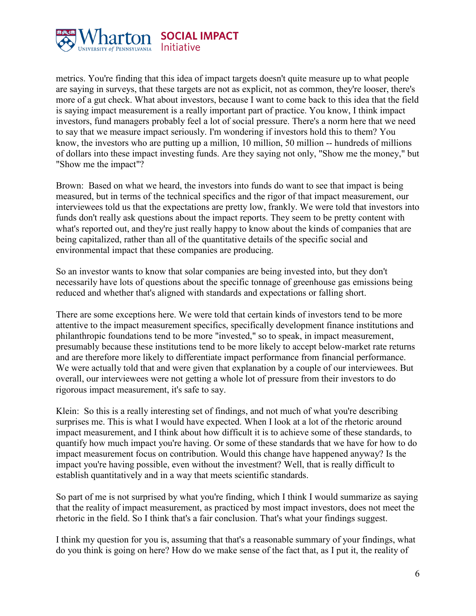

metrics. You're finding that this idea of impact targets doesn't quite measure up to what people are saying in surveys, that these targets are not as explicit, not as common, they're looser, there's more of a gut check. What about investors, because I want to come back to this idea that the field is saying impact measurement is a really important part of practice. You know, I think impact investors, fund managers probably feel a lot of social pressure. There's a norm here that we need to say that we measure impact seriously. I'm wondering if investors hold this to them? You know, the investors who are putting up a million, 10 million, 50 million -- hundreds of millions of dollars into these impact investing funds. Are they saying not only, "Show me the money," but "Show me the impact"?

Brown: Based on what we heard, the investors into funds do want to see that impact is being measured, but in terms of the technical specifics and the rigor of that impact measurement, our interviewees told us that the expectations are pretty low, frankly. We were told that investors into funds don't really ask questions about the impact reports. They seem to be pretty content with what's reported out, and they're just really happy to know about the kinds of companies that are being capitalized, rather than all of the quantitative details of the specific social and environmental impact that these companies are producing.

So an investor wants to know that solar companies are being invested into, but they don't necessarily have lots of questions about the specific tonnage of greenhouse gas emissions being reduced and whether that's aligned with standards and expectations or falling short.

There are some exceptions here. We were told that certain kinds of investors tend to be more attentive to the impact measurement specifics, specifically development finance institutions and philanthropic foundations tend to be more "invested," so to speak, in impact measurement, presumably because these institutions tend to be more likely to accept below-market rate returns and are therefore more likely to differentiate impact performance from financial performance. We were actually told that and were given that explanation by a couple of our interviewees. But overall, our interviewees were not getting a whole lot of pressure from their investors to do rigorous impact measurement, it's safe to say.

Klein: So this is a really interesting set of findings, and not much of what you're describing surprises me. This is what I would have expected. When I look at a lot of the rhetoric around impact measurement, and I think about how difficult it is to achieve some of these standards, to quantify how much impact you're having. Or some of these standards that we have for how to do impact measurement focus on contribution. Would this change have happened anyway? Is the impact you're having possible, even without the investment? Well, that is really difficult to establish quantitatively and in a way that meets scientific standards.

So part of me is not surprised by what you're finding, which I think I would summarize as saying that the reality of impact measurement, as practiced by most impact investors, does not meet the rhetoric in the field. So I think that's a fair conclusion. That's what your findings suggest.

I think my question for you is, assuming that that's a reasonable summary of your findings, what do you think is going on here? How do we make sense of the fact that, as I put it, the reality of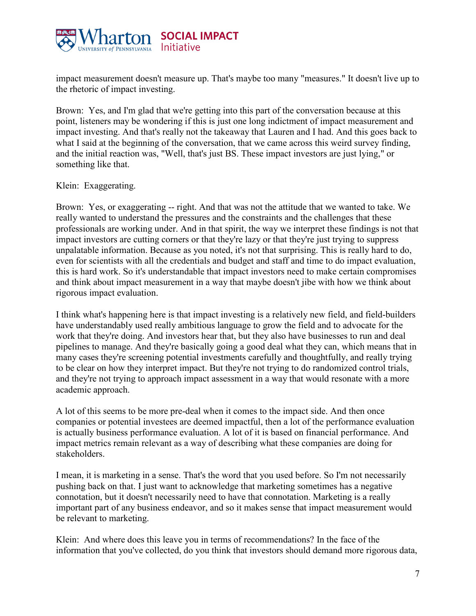

impact measurement doesn't measure up. That's maybe too many "measures." It doesn't live up to the rhetoric of impact investing.

Brown: Yes, and I'm glad that we're getting into this part of the conversation because at this point, listeners may be wondering if this is just one long indictment of impact measurement and impact investing. And that's really not the takeaway that Lauren and I had. And this goes back to what I said at the beginning of the conversation, that we came across this weird survey finding, and the initial reaction was, "Well, that's just BS. These impact investors are just lying," or something like that.

## Klein: Exaggerating.

Brown: Yes, or exaggerating -- right. And that was not the attitude that we wanted to take. We really wanted to understand the pressures and the constraints and the challenges that these professionals are working under. And in that spirit, the way we interpret these findings is not that impact investors are cutting corners or that they're lazy or that they're just trying to suppress unpalatable information. Because as you noted, it's not that surprising. This is really hard to do, even for scientists with all the credentials and budget and staff and time to do impact evaluation, this is hard work. So it's understandable that impact investors need to make certain compromises and think about impact measurement in a way that maybe doesn't jibe with how we think about rigorous impact evaluation.

I think what's happening here is that impact investing is a relatively new field, and field-builders have understandably used really ambitious language to grow the field and to advocate for the work that they're doing. And investors hear that, but they also have businesses to run and deal pipelines to manage. And they're basically going a good deal what they can, which means that in many cases they're screening potential investments carefully and thoughtfully, and really trying to be clear on how they interpret impact. But they're not trying to do randomized control trials, and they're not trying to approach impact assessment in a way that would resonate with a more academic approach.

A lot of this seems to be more pre-deal when it comes to the impact side. And then once companies or potential investees are deemed impactful, then a lot of the performance evaluation is actually business performance evaluation. A lot of it is based on financial performance. And impact metrics remain relevant as a way of describing what these companies are doing for stakeholders.

I mean, it is marketing in a sense. That's the word that you used before. So I'm not necessarily pushing back on that. I just want to acknowledge that marketing sometimes has a negative connotation, but it doesn't necessarily need to have that connotation. Marketing is a really important part of any business endeavor, and so it makes sense that impact measurement would be relevant to marketing.

Klein: And where does this leave you in terms of recommendations? In the face of the information that you've collected, do you think that investors should demand more rigorous data,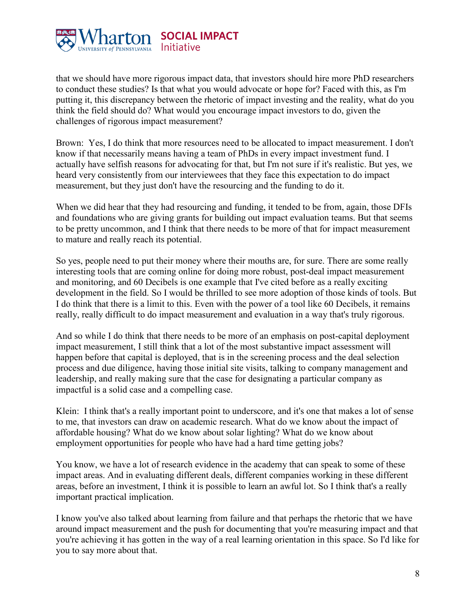

that we should have more rigorous impact data, that investors should hire more PhD researchers to conduct these studies? Is that what you would advocate or hope for? Faced with this, as I'm putting it, this discrepancy between the rhetoric of impact investing and the reality, what do you think the field should do? What would you encourage impact investors to do, given the challenges of rigorous impact measurement?

Brown: Yes, I do think that more resources need to be allocated to impact measurement. I don't know if that necessarily means having a team of PhDs in every impact investment fund. I actually have selfish reasons for advocating for that, but I'm not sure if it's realistic. But yes, we heard very consistently from our interviewees that they face this expectation to do impact measurement, but they just don't have the resourcing and the funding to do it.

When we did hear that they had resourcing and funding, it tended to be from, again, those DFIs and foundations who are giving grants for building out impact evaluation teams. But that seems to be pretty uncommon, and I think that there needs to be more of that for impact measurement to mature and really reach its potential.

So yes, people need to put their money where their mouths are, for sure. There are some really interesting tools that are coming online for doing more robust, post-deal impact measurement and monitoring, and 60 Decibels is one example that I've cited before as a really exciting development in the field. So I would be thrilled to see more adoption of those kinds of tools. But I do think that there is a limit to this. Even with the power of a tool like 60 Decibels, it remains really, really difficult to do impact measurement and evaluation in a way that's truly rigorous.

And so while I do think that there needs to be more of an emphasis on post-capital deployment impact measurement, I still think that a lot of the most substantive impact assessment will happen before that capital is deployed, that is in the screening process and the deal selection process and due diligence, having those initial site visits, talking to company management and leadership, and really making sure that the case for designating a particular company as impactful is a solid case and a compelling case.

Klein: I think that's a really important point to underscore, and it's one that makes a lot of sense to me, that investors can draw on academic research. What do we know about the impact of affordable housing? What do we know about solar lighting? What do we know about employment opportunities for people who have had a hard time getting jobs?

You know, we have a lot of research evidence in the academy that can speak to some of these impact areas. And in evaluating different deals, different companies working in these different areas, before an investment, I think it is possible to learn an awful lot. So I think that's a really important practical implication.

I know you've also talked about learning from failure and that perhaps the rhetoric that we have around impact measurement and the push for documenting that you're measuring impact and that you're achieving it has gotten in the way of a real learning orientation in this space. So I'd like for you to say more about that.